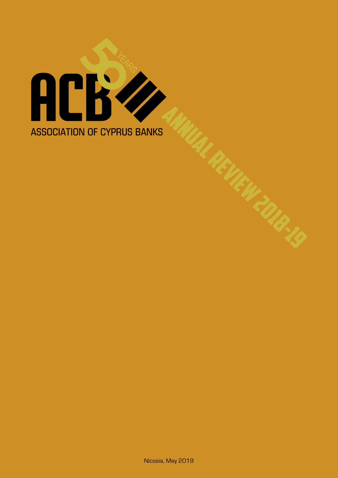# **ACKZ ASSOCIATION OF CYPRUS BANKS**

Nicosia, May 2019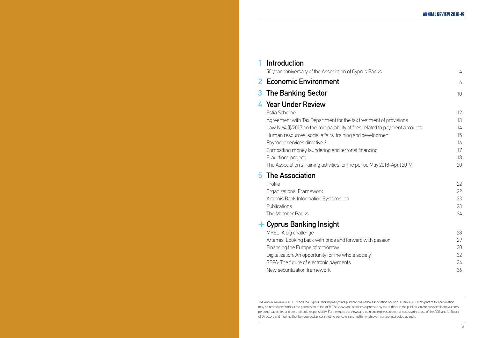## **1 Introduction**

50 year anniversary of the Association of Cypr

## **2 Economic Environment**

## **3** The Banking Sector

## **4 Year Under Review**

## **5 The Association**

## **+ Cyprus Banking Insight**

The Annual Review 2018-19 and the Cyprus Banking Insight are publications of the Association of Cyprus Banks (ACB). No part of this publication may be reproduced without the permission of the ACB. The views and opinions expressed by the authors in the publication are provided in the authors' personal capacities and are their sole responsibility. Furthermore the views and opinions expressed are not necessarily those of the ACB and its Board of Directors and must neither be regarded as constituting advice on any matter whatsover, nor are interpeted as such.

| 50 year anniversary of the Association of Cyprus Banks                     | 4  |
|----------------------------------------------------------------------------|----|
| <b>Economic Environment</b>                                                | 6  |
| The Banking Sector                                                         | 10 |
| Year Under Review                                                          |    |
| Estia Scheme                                                               | 12 |
| Agreement with Tax Department for the tax treatment of provisions          | 13 |
| Law N.64 (I)/2017 on the comparability of fees related to payment accounts | 14 |
| Human resources, social affairs, training and development                  | 15 |
| Payment services directive 2                                               | 16 |
| Combatting money laundering and terrorist financing                        | 17 |
| E-auctions project                                                         | 18 |
| The Association's training activities for the period May 2018-April 2019   | 20 |
| The Association                                                            |    |
| Profile                                                                    | 22 |
| Organizational Framework                                                   | 22 |
| Artemis Bank Information Systems Ltd                                       | 23 |
| Publications                                                               | 23 |
| The Member Banks                                                           | 24 |
| Cyprus Banking Insight                                                     |    |
| MREL: A big challenge                                                      | 28 |
| Artemis: Looking back with pride and forward with passion                  | 29 |
| Financing the Europe of tomorrow                                           | 30 |
| Digitalization: An opportunity for the whole society                       | 32 |
| SEPA: The future of electronic payments                                    | 34 |
| New securitization framework                                               | 36 |
|                                                                            |    |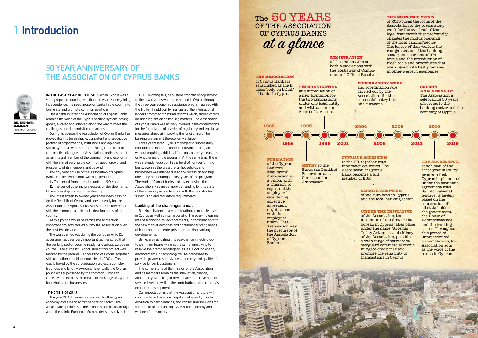## **1 Introduction**

## **50 year anniversary of the Association of Cyprus Banks**

**IN THE LAST YEAR OF THE 60'S, when Cyprus was a** young republic counting less than ten years since gaining independence, the need arose for banks in the country to formulate and promote common positions.

Half a century later, the Association of Cyprus Banks remains the voice of the Cyprus banking system, having grown, evolved and adapted along the way to meet the challenges and demands it came across.

During its course, the Association of Cyprus Banks has proved itself to be a reliable, consistent and productive partner of organizations, institutions and agencies within Cyprus as well as abroad. Being committed to constructive dialogue, the Association continues to act as an integral member of the community and economy, with the aim of serving the common good, growth and prosperity of its members and beyond.

The fifty-year course of the Association of Cyprus Banks can be divided into two main periods:

**1.** The period from inception until the 90s; and

**2.** The period covering pre-accession developments, EU membership and euro membership.

The latest fifteen to twenty years have been defining for the Republic of Cyprus and consequently for the Association of Cyprus Banks, whose role is intertwined with the economic and financial developments of the country.

At this point it would be remiss not to mention important projects carried out by the Association over the past two decades.

The work carried out during the period prior to EU accession has been very important, as it ensured that the banking sector became ready for Cyprus's European course. The successful conclusion of this project was marked by the parallel EU accession of Cyprus, together with nine other candidate countries, in 2004. This was followed by the euro adoption project, a complex, laborious and lengthy exercise. Eventually the Cyprus pound was superseded by the common European currency, the euro, as the means of exchange of Cypriot households and businesses.

### **The crisis of 2013**

The year 2013 marked a crossroad for the Cyprus economy and especially for the banking sector. The accumulated problems in the economy and banks brought about the painful Eurogroup Summit decisions in March

represent the employers' side during collective agreement negotiations with the employees' union. That Association was the precursor of the Association of Cyprus **Banks** 

2013. Following this, an austere program of adjustment to the new realities was implemented in Cyprus through the three-year economic assistance program agreed with the Troika. In addition to financial aid, the international lenders promoted structural reforms which, among others, included legislation on banking matters. The Association of Cyprus Banks was actively involved in the consultations for the formulation of a series of regulatory and legislative measures aimed at improving the functioning of the banking system and the economy at large.

Three years later, Cyprus managed to successfully conclude the macro-economic adjustment program without requiring additional funding, austerity measures or lengthening of the program. At the same time, there was a steady reduction in the level of non-performing loans, even as the pressure on households and businesses was intense due to the recession and high unemployment during the first years of the program. The work of Cypriot banks and, by extension, the Association, was made more demanding by this state of the economy in combination with the new stricter supervision and regulatory requirements.

### **Looking at the challenges ahead**

Banking challenges are proliferating on multiple levels, in Cyprus as well as internationally. The ever-increasing rate of technological advancements, in combination with the new market demands and continuing funding needs of households and enterprises, are driving banking developments.

Banks are navigating this sea-change in technology to plan their future, while at the same time trying to resolve their remaining legacy issues. Looking ahead, advancements in technology will be harnessed to provide greater responsiveness, security and quality of service for bank customers.

The cornerstone of the mission of the Association and its members remains the innovation, change, adaptability, launching of new services, improvement of service levels as well as the contribution to the country's economic development.

Our expectation is that the Association's future will continue to be based on the pillars of growth, constant evolution to new demands, and consensual solutions for the benefit of the banking system, the economy and the welfare of our society.

## The 50 YEARS OF THE ASSOCIATION OF CYPRUS BANKS at a glance



### **1965 1993 1969 1999 2001 2006 2004 Formation** of the Cyprus Bankers Employers' Association as a Union, with a mission to **The Association** of Cyprus Banks is established as the liaison body on behalf of banks in Cyprus. **ENTRY** to the European Banking Federation as a Correspondent Association. **Reorganization** and introduction of a new formation for the two associations under one legal entity and with a common Board of Directors. of the trademarks of both Associations with the Registrar of Companies and Official Receiver **Cyprus's Accession** to the EU, together with nine other countries. The Association of Cyprus Bank becomes a full member of EBF. and coordination role carried out by the Association, for the successful entry into the eurozone.



**Registration**

**Smooth adoption** of the euro both in Cyprus and the local banking sector.

### **Under the initiative** of the Association, the



formation of the first credit bureau in Cyprus takes place under the name "Artemis". Today Artemis, a subsidiary of the Association, provides a wide range of services to safeguard commercial credit, mitigate credit risk and promote the reliability of transactions in Cyprus.

### **The economic crisis**  of 2013 turns the focus of the Association to the preparatory work for the overhaul of the legal framework that profoundly changes the modus operandi of the local banking sector. The legacy of that work is the reorganization of the banking sector, the decrease of NPL levels and the introduction of fresh tools and procedures that are aligned with best practices in other western economies.

### **The successful**  conclusion of the

three year stability program that Cyprus implemented under the economic agreement with its international lenders, is largely based on the cooperation of all stakeholders: the government, the House of Representatives and the banking sector. Throughout this period of unprecedented circumstances, the Association acts as the voice of the banks in Cyprus.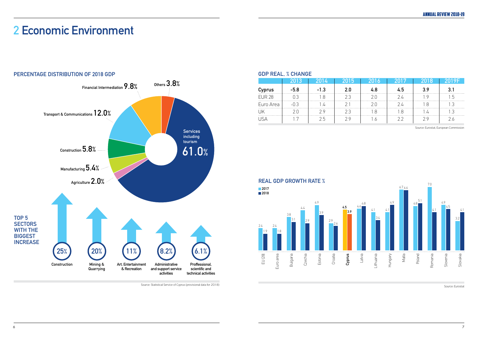Source: Eurostat, European Commission

| <b>IR 28</b> |  |  |  |  |
|--------------|--|--|--|--|
| ro Area      |  |  |  |  |
|              |  |  |  |  |
|              |  |  |  |  |

### **GDP Real, % Change**

Source: Eurostat



**Real GDP growth rate % 2017**

## **2 Economic Environment**

Source: Statistical Service of Cyprus (provisional data for 2018)

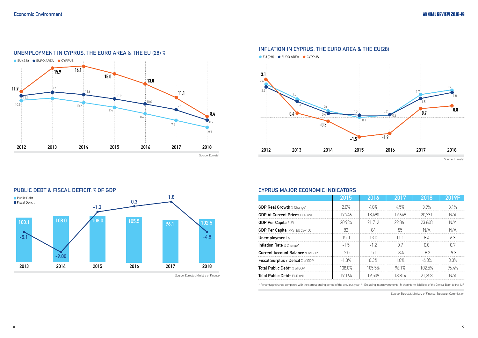Source: Eurostat



### **Inflation in Cyprus, the Euro area & the EU(28)**

| 4.8%<br>3.9%<br>2.0%<br>4.5%<br><b>GDP Real Growth % Change*</b><br>17.746<br>18.490<br>19.649<br>20.731<br><b>GDP At Current Prices EUR mil.</b><br>20.934<br>21 712<br>22.861<br>23.848<br><b>GDP Per Capita EUR</b><br>85<br>82<br>RΔ<br><b>GDP Per Capita</b> (PPS) EU 28=100<br>N/A<br>15.0<br>13 O<br>84<br>Unemployment %<br>-1-1<br>$-15$<br>(17)<br>Ω8<br><b>Inflation Rate % Change*</b><br>$-12$<br>-82<br>$-2n$<br>$-8/1$<br>-51<br><b>Current Account Balance</b> % of GDP<br>$-1.3%$<br>1.8%<br>0.3%<br>-48%<br>Fiscal Surplus / Deficit % of GDP | 2019F      |
|-----------------------------------------------------------------------------------------------------------------------------------------------------------------------------------------------------------------------------------------------------------------------------------------------------------------------------------------------------------------------------------------------------------------------------------------------------------------------------------------------------------------------------------------------------------------|------------|
|                                                                                                                                                                                                                                                                                                                                                                                                                                                                                                                                                                 | 3.1%       |
|                                                                                                                                                                                                                                                                                                                                                                                                                                                                                                                                                                 | N/A        |
|                                                                                                                                                                                                                                                                                                                                                                                                                                                                                                                                                                 | N/A        |
|                                                                                                                                                                                                                                                                                                                                                                                                                                                                                                                                                                 | $N/\Delta$ |
|                                                                                                                                                                                                                                                                                                                                                                                                                                                                                                                                                                 | 63         |
|                                                                                                                                                                                                                                                                                                                                                                                                                                                                                                                                                                 | በ 7        |
|                                                                                                                                                                                                                                                                                                                                                                                                                                                                                                                                                                 | $-93$      |
|                                                                                                                                                                                                                                                                                                                                                                                                                                                                                                                                                                 | 30%        |
| 105.5%<br>961%<br>102.5%<br>108.0%<br>Total Public Debt** % of GDP                                                                                                                                                                                                                                                                                                                                                                                                                                                                                              | 96.4%      |
| 19.164<br>19509<br><b>Total Public Debt**</b> EUR mil.<br>18.814<br>21 258                                                                                                                                                                                                                                                                                                                                                                                                                                                                                      |            |

### **CYPRUS MAJOR ECONOMIC INDICATORS**

Source: Eurostat, Ministry of Finance, European Commission

\* Percentage change compared with the corresponding period of the previous year \*\* Excluding intergovernmental & short-term liabilities of the Central Bank to the IMF.



### **Public Debt & Fiscal Deficit, % of GDP 1.8 Public Debt 0.3 Fiscal Deficit -1.3 105.5 96.1 102.5 108.0 108.0 103.1** ╰ **-5.1 -4.8 -9.00 2013 2014 2015 2016 2017 2018**

Source: Eurostat. Ministry of Finance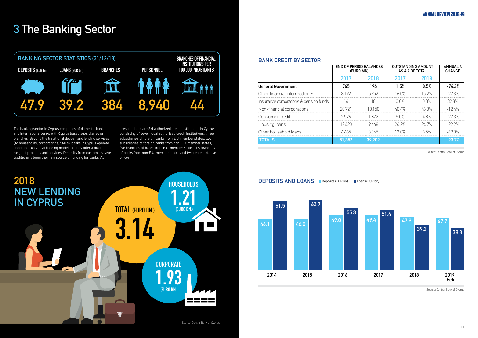|                                        | <b>END OF PERIOD BALANCES</b><br>(EURO MN) |        | <b>OUTSTANDING AMOUNT</b><br>AS A % OF TOTAL |          | <b>ANNUAL %</b><br><b>CHANGE</b> |
|----------------------------------------|--------------------------------------------|--------|----------------------------------------------|----------|----------------------------------|
|                                        | 2017                                       | 2018   | 2017                                         | 2018     |                                  |
| <b>General Government</b>              | 765                                        | 196    | 1.5%                                         | 0.5%     | $-74.3%$                         |
| Other financial intermediaries         | 8.192                                      | 5.952  | 16 በ%                                        | $15.2\%$ | $-27.3%$                         |
| Insurance corporations & pension funds |                                            | 18     | በ በ%                                         | በ በ%     | 32.8%                            |
| Non-financial corporations             | 20.721                                     | 18 150 | 40 4%                                        | 46 3%    | $-12\frac{\text{L}}{\text{A}}$   |
| Consumer credit                        | 2.576                                      | 1 872  | 50%                                          | 48%      | $-27.3%$                         |
| Housing loans                          | 12.420                                     | 9 668  | 24.2%                                        | 24.7%    | -22.2%                           |
| Other household loans                  | 6.665                                      | 3.345  | 13 በ%                                        | 85%      | -49 8%                           |
| <b>TOTALS</b>                          | 51.352                                     | 39.202 |                                              |          | -23 7%                           |

### **Bank Credit by Sector**

Source: Central Bank of Cyprus

Source: Central Bank of Cyprus







## **3 The Banking Sector**



The banking sector in Cyprus comprises of domestic banks and international banks with Cyprus based subsidiaries or branches. Beyond the traditional deposit and lending services (to households, corporations, SMEs), banks in Cyprus operate under the "universal banking model" as they offer a diverse range of products and services. Deposits from customers have traditionally been the main source of funding for banks. At



present, there are 34 authorized credit institutions in Cyprus, consisting of seven local authorized credit institutions, three subsidiaries of foreign banks from E.U. member states, two subsidiaries of foreign banks from non-E.U. member states, five branches of banks from E.U. member states, 15 branches of banks from non-E.U. member states and two representative offices.

Source: Central Bank of Cyprus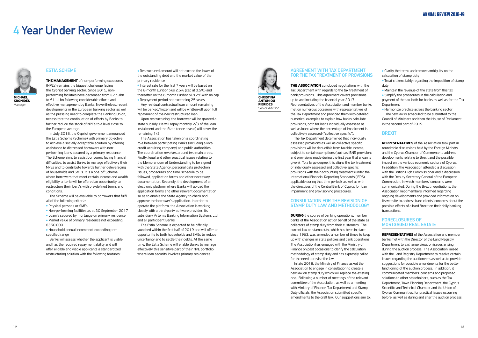## **4 Year Under Review**

### **Estia Scheme**

**The management** of non-performing exposures (NPEs) remains the biggest challenge facing the Cypriot banking sector. Since 2015, nonperforming facilities have decreased from €27.3bn to €11.1bn following considerable efforts and effective management by Banks. Nevertheless, recent developments in the European banking sector as well as the pressing need to complete the Banking Union, necessitate the continuation of efforts by Banks to further reduce the stock of NPEs to a level close to the European average.

- Market value of primary residence not exceeding €350.000
- l Household annual income not exceeding prespecified range

In July 2018, the Cypriot government announced the Estia Scheme (Scheme) with primary objective to achieve a socially acceptable solution by offering assistance to distressed borrowers with nonperforming loans secured by a primary residence. The Scheme aims to assist borrowers facing financial difficulties, to assist Banks to manage effectively their NPEs and to contribute towards further deleveraging of households and SMEs. It is a one-off Scheme, where borrowers that meet certain income and wealth eligibility criteria will be offered an opportunity to restructure their loan/s with pre-defined terms and conditions.

**.** Restructured amount will not exceed the lower of the outstanding debt and the market value of the primary residence

• Interest rate for the first 7 years will be based on the 6-month Euribor plus 2.5% (cap at 3.5%) and thereafter on the 6-month Euribor plus 2% with no cap **• Repayment period not exceeding 25 years** 

The Scheme will be available to borrowers that fulfil all of the following criteria:

**• Physical persons or SMEs** 

<sup>l</sup> Non-performing facilities as at 30 September 2017

• Loan/s secured by mortgage on primary residence

Banks will assess whether the applicant is viable and has the required repayment ability and will offer eligible and viable applicants a standardized restructuring solution with the following features:

Any residual contractual loan amount remaining will be parked/frozen and will be written-off upon full repayment of the new restructured loan.

Upon restructuring, the borrower will be granted a state subsidy. He will repay monthly 2/3 of the loan installment and the State (once a year) will cover the remaining 1/3.

> **DURING** the course of banking operations, member banks of the Association act on behalf of the state as collectors of stamp duty from their customers. The current law on stamp duty, which has been in place since 1963, was amended a number of times to keep up with changes in state policies and bank operations. The Association has engaged with the Ministry of Finance on past occasions to clarify the calculation methodology of stamp duty and has expressly called for the need to revise the law.

The Association has taken on a coordinating role between participating Banks (including a local credit acquiring company) and public authorities. The coordination revolves around two main areas. Firstly, legal and other practical issues relating to the Memorandum of Understanding to be signed with the State Agency, personal data protection issues, procedures and time-schedule to be followed, application forms and other necessary documentation. Secondly, the development of an electronic platform where Banks will upload the application forms and other relevant documentation so as to enable the State Agency to check and approve the borrower's application. In order to operate the platform, the Association is working closely with a third-party software provider, its subsidiary Artemis Banking Information Systems Ltd and all participant Banks.

• Clarify the terms and remove ambiguity on the calculation of stamp duty

• Treat citizens fairly regarding the imposition of stamp duty

 $\bullet$  Maintain the revenue of the state from this tax

 $\bullet$  Simplify the procedures in the calculation and payment of the tax, both for banks as well as for the Tax **Department** 

 $\bullet$  Harmonize practice across the banking sector The new law is scheduled to be submitted to the Council of Ministers and then the House of Parliament in the second part of 2019.

The Estia Scheme is expected to be officially launched within the first half of 2019 and will offer an opportunity to both households and SMEs to reduce uncertainty and to settle their debts. At the same time, the Estia Scheme will enable Banks to manage effectively this sensitive part of their NPE portfolio where loan security involves primary residences.



**Kronides** Manager

### **Agreement with Tax Department for the tax treatment of provisions**

**The Association** concluded negotiations with the Tax Department with regards to the tax treatment of bank provisions. This agreement covers provisions up to and including the financial year 2017. Representatives of the Association and member banks met on numerous occasions with representatives of the Tax Department and provided them with detailed numerical examples to explain how banks calculate provisions, both for loans individually assessed as well as loans where the percentage of impairment is collectively assessed ("collective specific").

The Tax Department determined that individually assessed provisions as well as collective specific provisions will be deductible from taxable income, subject to certain exemptions (such as IBNR provisions and provisions made during the first year that a loan is given). To a large degree, this aligns the tax treatment of individually assessed and collective specific provisions with their accounting treatment (under the International Financial Reporting Standards (IFRS) applicable during that time period), as well as with the directives of the Central Bank of Cyprus for loan impairment and provisioning procedures.

### **Consultation for the revision of stamp duty law and methodology**

In late 2018, the Ministry of Finance asked the Association to engage in consultation to create a new law on stamp duty which will replace the existing one. Following a number of meetings of the relevant committee of the Association, as well as a meeting with Ministry of Finance, Tax Department and Stamp Duty officials, the Association submitted specific amendments to the draft law. Our suggestions aim to:

### **Brexit**

**Representatives** of the Association took part in roundtable discussions held by the Foreign Ministry and the Cyprus Chamber of Commerce to address developments relating to Brexit and the possible impact on the various economic sectors of Cyprus. In addition, the Association attended a discussion with the British High Commissioner and a discussion with the Deputy Secretary General of the European Commission, in which members' concerns were communicated. During the Brexit negotiations, the Association kept members informed regarding ongoing developments and provided information on its website to address bank clients' concerns about the possible effects of a hard Brexit on their daily banking transactions.

### **Foreclosures of mortgaged real estate**

**Representatives** of the Association and member banks met with the Director of the Land Registry Department to exchange views on issues arising during the auction process. The Association liaised with the Land Registry Department to resolve certain issues regarding the auctioneers as well as to provide suggestions for possible amendments for the better functioning of the auction process. In addition, it communicated members' concerns and proposed solutions to other stakeholders, such as the Tax Department, Town Planning Department, the Cyprus Scientific and Technical Chamber and the Union of Cyprus Communities, for practical issues occurring before, as well as during and after the auction process.



Senior Advisor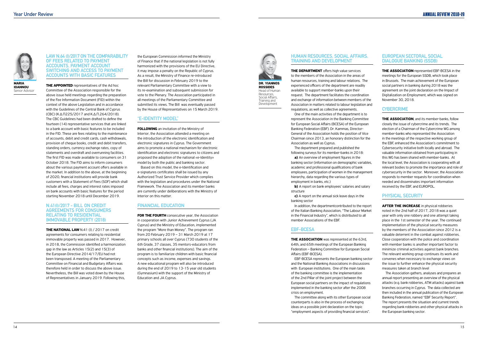

**Maria Ioannou** Senior Advisor

### **Law N.64 (I)/2017 on the comparability of fees related to payment accounts, payment account switching and access to payment accounts with basic features**

**THE APPOINTED** representatives of the Ad hoc Committee of the Association responsible for the above issue held meetings regarding the preparation of the Fee Information Document (FID) within the context of the above Legislation and in accordance with the Guidelines of the Central Bank of Cyprus (CBC) (Κ.Δ.Π225/2017 and Κ.Δ.Π.264/2018). The CBC Guidelines had been drafted to define the fourteen (14) representative services that are linked to a bank account with basic features to be included in the FID. These are fees relating to the maintenance of accounts, debit and credit cards, cash withdrawals, provision of cheque books, credit and debit transfers, standing orders, currency exchange rates, copy of statements and overdraft and overrunning facilities. The first FID was made available to consumers on 31 October 2018. The FID aims to inform consumers about the various payment account offers available in the market. In addition to the above, at the beginning of 2020, financial institutions will provide bank customers with a Statement of Fees (SOF) which shall include all fees, charges and interest rates imposed on bank accounts with basic features for the period starting November 2018 until December 2019.

**THE NATIONAL LAW** N.41 (I) / 2017 on credit agreements for consumers relating to residential immovable property was passed in 2017. However, in 2018, the Commission identified a harmonization gap in the law as Articles 15(2) and 15(3) of the European Directive 2014/17/EU had not been transposed. A meeting of the Parliamentary Committee on Financial and Budgetary Affairs was therefore held in order to discuss the above issue. Nevertheless, the Bill was voted down by the House of Representatives in January 2019. Following this,

### **N.41(I)/2017 - Bill on credit agreements for consumers relating to residential immovable property (2018)**

**FOLLOWING** an invitation of the Ministry of Interior, the Association attended a meeting on the introduction of the electronic identification and electronic signatures in Cyprus. The Government aims to promote a national mechanism for electronic identification and electronic signatures to citizens and proposed the adoption of the national «e-Identity» model by both the public and banking sector.

**FOR THE FOURTH** consecutive year, the Association in cooperation with Junior Achievement Cyprus (JA Cyprus) and the Ministry of Education, implemented the program "More than Money". The program ran from 20 February 2019 – 31 March 2019 at 17 primary schools all over Cyprus (730 students of the 6th Grade, 37 classes, 35 mentors-educators from banks and other financial institutions). The aim of the program is to familiarize children with basic financial concepts such as income, expenses and savings. A new educational program will also be introduced during the end of 2019 to 13-15 year old students (Gymnasium) with the support of the Ministry of Education and JA Cyprus.

**THE DEPARTMENT** offers high value services to the members of the Association in the areas of human resources, training and labour relations. The experienced officers of the department are readily available to support member-banks upon their request. The department facilitates the coordination and exchange of information between members of the Association in matters related to labour legislation and regulations, as well as collective agreements.

the European Commission informed the Ministry of Finance that if the national legislation is not fully harmonized with the provisions of the EU Directive, it may impose a penalty on the Republic of Cyprus. As a result, the Ministry of Finance re-introduced the Bill for discussion in February 2019 to the relevant Parliamentary Committee with a view to its re-examination and subsequent submission for vote to the Plenary. The Association participated in all meetings of the Parliamentary Committee and submitted its views. The Bill was eventually passed by the House of Representatives on 15 March 2019.

### **"E-identity Model"**

**b)** A report on bank employees' salaries and salary structure

**THE ASSOCIATION** was represented at the 63rd, 64th, and 65th meetings of the European Banking Federation – Banking Committee for European Social Affairs (EBF-BCESA).

Based on this model, the e-Identification and e-signatures certificates shall be issued by any Authorized Trust Service Provider which complies with the legislation and procedures under the National Framework. The Association and its member banks are currently under deliberations with the Ministry of Interior on this matter.

**THE ASSOCIATION** represented EBF-BCESA in the meetings for the European SSDB, which took place in Brussels. The main achievement of the European social partners in banking during 2018 was the agreement on the joint declaration on the Impact of Digitalization on Employment, which was signed on November 30, 2018.

### **Financial Education**

**THE ASSOCIATION**, and its member-banks, follow closely the issue of cybercrime and its trends. The election of a Chairman of the Cybercrime WG among member-banks who represented the Association in the meetings of the respective working group of the EBF, enhanced the Association's commitment to Cybersecurity initiative both locally and abroad. The valuable information obtained from participating in this WG has been shared with member-banks. At the local level, the Association is cooperating with all relevant bodies to promote the importance and role of cybersecurity in the sector. Moreover, the Association responds to member requests for coordination when needed and disseminates important information received by the EBF, and EUROPOL.

**AFTER THE INCREASE** in physical robberies noted in the 2nd half of 2017, 2018 was a quiet year with only one robbery and one attempt taking place in the 1st semester of the year. The continued implementation of the physical security measures by the members of the Association since 2012 is a valuable deterrent in the combat against robberies. Close cooperation with the police and coordination with member banks is another important factor to minimize criminal activities against bank branches. The relevant working group continues its work and convenes when necessary to exchange views on the issue to further enhance the physical security measures taken at branch level

### **Human Resources, Social Affairs, Training and Development**

One of the main activities of the department is to represent the Association in the Banking Committee for European Social Affairs (BCESA) of the European Banking Federation (EBF). Dr. Kammas, Director-General of the Association holds the position of Vice Chairman since 2013, an honorary distinction for the Association as well as Cyprus.

The department prepared and published the following surveys for its member-banks in 2018:

**a)** An overview of employment figures in the banking sector (information on demographic variables, academic and professional qualifications of bank employees, participation of women in the management hierarchy, data regarding the various types of employment in banks, etc.)

**c)** A report on the annual sick leave days in the banking sector

In addition, the departmentcontributed to the report of the Italian Banking Association, "The Labour Market in the Financial Industry", which is distributed to all member Associations of the EBF.

### **EBF-BCESA**

EBF-BCESA represents the European banking sector and the National Banking Associations in discussions with European institutions. One of the main tasks of the banking committee is the implementation of the 2nd Pillar of the joint project between the European social partners on the impact of regulations implemented in the banking sector after the 2008 crisis on employment.

The committee along with its other European social counterparts is also in the process of exchanging ideas on a possible joint declaration on the topic "employment aspects of providing financial services".

### **European Sectoral Social Dialogue Banking (SSDB)**

### **Cybercrime**

### **Physical Security**

The Association gathers, analyses and prepares an annual report presenting an overview of the physical attacks (e.g. bank robberies, ATM attacks) against bank branches occurring in Cyprus. The data collected are then included in the annual publication of the European Banking Federation, named "EBF Security Report". The report presents the situation and current trends regarding bank robberies and other physical attacks in the European banking sector.

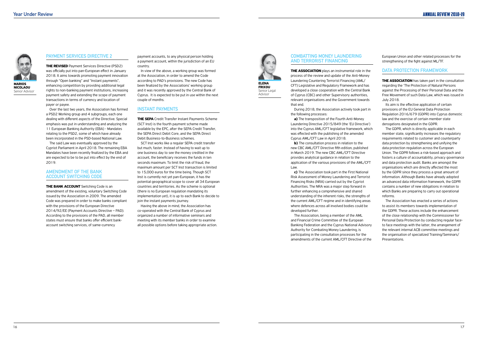### **Combatting Money Laundering and Terrorist Financing**

**THE ASSOCIATION** plays an instrumental role in the process of the review and update of the Anti-Money Laundering Countering Terrorist Financing (AML/ CFT) Legislative and Regulatory Framework and has developed a close cooperation with the Central Bank of Cyprus (CBC) and other Supervisory authorities, relevant organisations and the Government towards that end.

During 2018, the Association actively took part in the following processes:

**b)** The consultation process in relation to the new CBC AML/CFT Directive fifth edition, published in March 2019. The new CBC AML/CFT Directive provides analytical guidance in relation to the application of the various provisions of the AML/CFT Law.

**a)** The transposition of the Fourth Anti-Money Laundering Directive 2015/849 (the 'EU Directive') into the Cyprus AML/CFT legislative framework, which was effected with the publishing of the amended Cyprus AML/CFT Law in April 2018.

**THE ASSOCIATION** has taken part in the consultation regarding the 'The Protection of Natural Persons against the Processing of their Personal Data and the Free Movement of such Data Law, which was issued in July 2018.

**c)** The Association took part in the First National Risk Assessment of Money Laundering and Terrorist Financing Risks (NRA) carried out by the Cypriot Authorities. The NRA was a major step forward in further enhancing a comprehensive and shared understanding of the inherent risks, the strengths of the current AML/CFT regime and in identifying areas where defences across all involved bodies could be developed further.

The Association, being a member of the AML and Financial Crime Committee of the European Banking Federation and the Cyprus National Advisory Authority for Combating Money Laundering, is participating in the consultation processes for the amendments of the current AML/CFT Directive of the

European Union and other related processes for the strengthening of the fight against ML/TF.

### **Data Protection Framework**

**THE REVISED** Payment Services Directive (PSD2) was officially put into pan-European effect in January 2018. It aims towards promoting payment innovation through "Open banking" and "Instant payments", enhancing competition by providing additional legal rights to non-banking payment institutions, increasing payment safety and extending the scope of payment transactions in terms of currency and location of payer or payee.

Its aim is the effective application of certain provisions of the EU General Data Protection Regulation 2016/679 (GDPR) into Cyprus domestic law and the exercise of certain member state derogations designated in the GDPR.

The GDPR, which is directly applicable in each member state, significantly increases the regulatory requirements related to customer and counterparty data protection by strengthening and unifying the data protection regulation across the European Union. The GDPR follows a risk-based approach and fosters a culture of accountability, privacy governance and data protection audit. Banks are amongst the organisations which are directly affected the most by the GDPR since they process a great amount of information. Although Banks have already adopted an advanced data information framework, the GDPR contains a number of new obligations in relation to which Banks are preparing to carry out operational reforms.

**THE SEPA** Credit Transfer Instant Payments Scheme (SCT Inst) is the fourth payment scheme made available by the EPC, after the SEPA Credit Transfer, the SEPA Direct Debit Core, and the SEPA Direct Debit Business-to-Business schemes.

> The Association has enacted a series of actions to assist its members towards implementation of the GDPR. These actions include the enhancement of the close relationship with the Commissioner for Personal Data Protection by conducting regular faceto face meetings with the latter, the arrangement of the relevant internal ACB committee meetings and the organisation of specialized Training/Seminars/ Presentations.



### **Payment Services Directive 2**

Over the last two years, the Association has formed a PSD2 Working group and 4 subgroups, each one dealing with different aspects of the Directive. Special emphasis was put in understanding and analyzing the 11 European Banking Authority (EBA) - Mandates relating to the PSD2, some of which have already been incorporated in the PSD-based National Law.

The said Law was eventually approved by the Cypriot Parliament in April 2018. The remaining EBA Mandates have been recently finalized by the EBA and are expected to be to be put into effect by the end of 2019.

### **Amendment of the Bank Account Switching Code**

**The Bank Account** Switching Code is an amendment of the existing, voluntary Switching Code issued by the Association in 2009. The amended Code was prepared in order to make banks compliant with the provisions of the European Directive 2014/92/EE (Payment Accounts Directive – PAD). According to the provisions of the PAD, all member states must ensure that banks offer efficient bankaccount switching services, of same-currency

payment accounts, to any physical person holding a payment account, within the jurisdiction of an EU country.

In view of the above, a working group was formed at the Association, in order to amend the Code according to PAD's provisions. The new Code has been finalized by the Associations' working group and it was recently approved by the Central Bank of Cyprus. It is expected to be put in use within the next couple of months.

### **Instant Payments**

SCT Inst works like a regular SEPA credit transfer but much, faster. Instead of having to wait up to one business day to see the money credited in the account, the beneficiary receives the funds in ten seconds maximum. To limit the risk of fraud, the maximum amount per SCT Inst transaction is limited to 15,000 euros for the time being. Though SCT Inst is currently not yet pan-European, it has the potential geographical scope to cover all 34 European countries and territories. As the scheme is optional (there is no European regulation mandating its implementation yet), it is up to each Bank to decide to join the instant payments journey.

Having the above in mind, the Association has co-operated with the Central Bank of Cyprus and organized a number of informative seminars and meeting with its member banks in order to examine all possible options before taking appropriate action.



**Nicolaou** Senior Advisor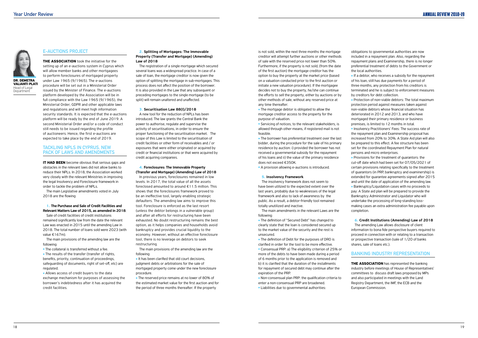### **Ε-Auctions Project**

**THE ASSOCIATION** took the initiative for the setting up of an e-auctions system in Cyprus which will allow member banks and other mortgagees to perform foreclosures of mortgaged property under Law 1965 (9/1965). The e-auctions procedure will be set out in a Ministerial Order issued by the Minister of Finance. The e-auctions platform developed by the Association will be in full compliance with the Law 1965 (9/1965), the Ministerial Order, GDPR and other applicable laws and regulations and will meet high information security standards. It is expected that the e-auctions platform will be ready by the end of June 2019. A second Ministerial Order and/or a code of conduct still needs to be issued regarding the profile of auctioneers. Hence, the first e-auctions are expected to take place by the end of 2019.

**IT HAD BEEN** become obvious that serious gaps and obstacles in the relevant laws did not allow banks to reduce their NPLs. In 2018, the Association worked very closely with the relevant Ministries in improving the legal Insolvency and Foreclosure framework in order to tackle the problem of NPLs.

### **TackLing NPLs in Cyprus, New Pack of Laws and Amendments**

 $\bullet$  The collateral is transferred without a fee. • The results of the transfer (transfer of rights, benefits, priority, continuation of proceedings, safeguarding of documents, right of set-off, etc) are regulated.

• Allows access of credit buyers to the data exchange mechanism for purposes of assessing the borrower's indebtedness after it has acquired the credit facilities.

The main Legislative amendments voted in July 2018 are the flowing:

### **1.** The Purchase and Sale of Credit Facilities and Relevant Matters Law of 2015, as amended in 2018.

Sale of credit facilities of credit institutions remained significantly low from the date the relevant Law was enacted in 2015 until the amending Law in 2018. The total number of loans sold were 2023 (with value €167m).

The main provisions of the amending law are the following:

> $\bullet$  It has been clarified that old court decisions. judgment debts or arbitrations for the sale of mortgaged property come under the new foreclosure procedure.

### **2.** Splitting of Mortgages: The Immovable Property (Transfer and Mortgage) (Amending) Law of 2018

• The reserved price remains at no lower of 80% of the estimated market value for the first auction and for the period of three months thereafter. If the property



**Valianti Plati** Head of Legal **Department** 

The registration of a single mortgage which secured several loans was a widespread practice. In case of a sale of loan, the mortgage creditor is now given the option of splitting the mortgage in sub-mortgages. This process does not affect the position of the borrower. It is also provided in the Law that any subsequent or preceding mortgages to the single mortgage (to be split) will remain unaltered and unaffected.

> • The mortgage debtor is obligated to allow the mortgage creditor access to the property for the purpose of valuation.

### **3.** Securitisation Law 88(Ι)/2018

**.** Servicing of notices, to the relevant stakeholders, is allowed through other means, if registered mail is not feasible.

• The borrower has preferential treatment over the last bidder, during the procedure for the sale of his primary residence by auction: i) provided the borrower has not received a governmental subsidy for the repayment of his loans and ii) the value of the primary residence does not exceed €350K.

• A provision allowing e-auctions is introduced.

A new tool for the reduction of NPLs has been introduced. The law grants the Central Bank the power to authorise, regulate and supervise the activity of securitisations, in order to ensure the proper functioning of the securitisation market. The scope of this Law is limited to the securitisation of credit facilities or other form of receivables and / or exposures that were either originated or acquired by credit or financial institutions or that were acquired by credit acquiring companies.

> • The definition of "Secured Debt" has changed to clearly state that the loan is considered secured up to the market value of the security and the rest is unsecured.

• The definition of Debt for the purposes of DRO is clarified in order for the tool to be more effective.

### **4.** Foreclosures: The Immovable Property (Transfer and Mortgage) (Amending) Law of 2018

• Non-consensual plan PRP: the qualification criteria to enter a non-consensual PRP are broadened.

• Liabilities due to governmental authorities:

In previous years, foreclosures remained in low levels. In 2017, the total value of all the assets foreclosed amounted to around €11.5 million. This shows that the foreclosures framework proved to be an ineffective tool, largely enabling strategic defaulters. The amending law aims to improve this tool. Foreclosure is enforced as the last resort (unless the debtor belongs in a vulnerable group) and after all efforts for restructuring have been exhausted. No doubt restructuring remains the best option, as it helps companies and households avoid bankruptcy and provides crucial liquidity to the economy. However, without an effective foreclosure tool, there is no leverage on debtors to seek restructuring.

 $\bullet$  If a debtor, who receives a subsidy for the repayment of his loan, still has due payments for a period of three months, any protection from his creditors is terminated and he is subject to enforcement measures by creditors for debt collection.

• Protection of non-viable debtors: The total maximum protection period against measures taken against non-viable debtors whose financial situation has deteriorated in 2012 and 2013, and who have mortgaged their primary residence or business premises, is limited to 12 months in total.

**Insolvency Practitioners' Fees: The success rate of** the repayment plan and Examinership proposal has increased from 20% to 30%. A State Aid plan will also be prepared to this effect. A fee structure has been set for the coordinated Repayment Plan for natural persons and micro enterprises.

The main provisions of the amending law are the following:

 $\bullet$  Provisions for the treatment of quarantors: the cut-off date which had been set for 07/05/2021 of certain provisions relating specifically to the treatment of guarantors (in PRP, bankruptcy and examinership) is extended for guarantee agreements signed after 2015 and until the date of application of the amending law. **• Bankruptcy/Liquidation cases with no proceeds to** pay: A State aid plan will be prepared to provide the Bankruptcy Administrator and Liquidator who will undertake the processing of long-standing lossmaking cases an extra administration fee payable upon

**THE ASSOCIATION** has represented the banking industry before meetings of House of Representatives' committees to discuss draft laws proposed by MPs and also participated in meetings with the Land Registry Department, the IMF, the ECB and the European Commission.

is not sold, within the next three months the mortgage creditor will attempt further auctions or other methods of sale with the reserved price not lower than 50%. Furthermore, if the property is not sold, (from the date of the first auction) the mortgage creditor has the option to buy the property at the market price (based on a valuation conducted prior to the first auction or initiate a new valuation procedure). If the mortgagee decides not to buy the property, he/she can continue the efforts to sell the property, either by auctions or by other methods of sale, without any reserved price at any time thereafter.

### **5.** Insolvency Framework

The insolvency framework does not seem to have been utilized to the expected extent over the last years, probably due to weaknesses of the legal framework and also to lack of awareness by the public. As a result, a debtor-friendly tool remained totally unutilized and inactive.

The main amendments in the relevant Laws are the following:

<sup>l</sup> Consensual PRP: a) The eligibility criterion of 25% or more of the debts to have been made during a period of 6 months prior to the application is removed and b) it is clarified that the duration of the installments for repayment of secured debt may continue after the expiration of the PRP.

obligations to governmental authorities are now included in a repayment plan. Also, regarding the repayment plans and Examinership, there is no longer preferential treatment of debts to the Government or the local authorities.

completion.

**6.** Credit Institutions (Amending) Law of 2018

The amending Law allows disclosure of client information to bona fide perspective buyers required to proceed in connection with or relating to a transaction or prospective transaction (sale of 1/20 of banks shares, sale of loans etc.).

### **Banking Industry Representation**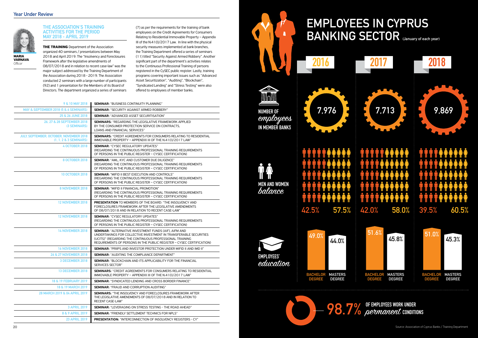## **EMPLOYEES IN CYPRUS BANKING SECTOR (January of each year)**



## **98.7%** of EMPLOYEES WORK UNDER



### **THE ASSOCIATION'S TRAINING ACTIVITIES FOR THE PERIOD MAY 2018 - APRIL 2019**

**THE TRAINING** Department of the Association organized 40 seminars / presentations between May 2018 and April 2019. The "Insolvency and Foreclosures Framework after the legislative amendments of 08/07/2018 and in relation to recent case-law" was the major subject addressed by the Training Department of the Association during 2018 - 2019. The Association conducted 2 seminars with a large number of participants (92) and 1 presentation for the Members of its Board of Directors. The department organized a series of seminars (7) as per the requirements for the training of bank employees on the Credit Agreements for Consumers Relating to Residential Immovable Property – Appendix III of the N.41(I)/2017 Law. In line with the physical security measures implemented at bank branches, the Training Department offered a series of seminars (11) titled "Security Against Armed Robbery". Another significant part of the department's activities relates to the Continuous Professional Training of persons registered in the CySEC public register. Lastly, training programs covering important issues such as "Advanced Asset Securitization", "Auditing", "Blockchain", "Syndicated Lending" and "Stress Testing" were also offered to employees of member banks.

| 9 & 10 MAY 2018   SEMINAR: "BUSINESS CONTINUITY PLANNING" |
|-----------------------------------------------------------|
|                                                           |

**varnava Officer** 

| MAY & SEPTEMBER 2018 (5 & 6 SEMINARS)                                | <b>SEMINAR:</b> "SECURITY AGAINST ARMED ROBBERY"                                                                                                                                                                                                                        |
|----------------------------------------------------------------------|-------------------------------------------------------------------------------------------------------------------------------------------------------------------------------------------------------------------------------------------------------------------------|
| 25 & 26 JUNE 2018                                                    | <b>SEMINAR:</b> "ADVANCED ASSET SECURITISATION"                                                                                                                                                                                                                         |
| 26, 27 & 28 SEPTEMBER 2018<br>(3 SEMINARS)                           | <b>SEMINARS: "REGARDING THE LEGISLATIVE FRAMEWORK APPLIED</b><br>BY THE CONSUMER PROTECTION SERVICE ON CONTRACTS.<br>LOANS AND FINANCIAL SERVICES"                                                                                                                      |
| JULY, SEPTEMBER, OCTOBER, NOVEMBER 2018<br>$(1, 1, 2 \& 3$ SEMINARS) | <b>SEMINARS: "CREDIT AGREEMENTS FOR CONSUMERS RELATING TO RESIDENTIAL</b><br>IMMOVABLE PROPERTY - APPENDIX III OF THE N.41(I)/2017 LAW"                                                                                                                                 |
| <b>4 OCTOBER 2018</b>                                                | <b>SEMINAR: "CYSEC REGULATORY UPDATES"</b><br>(REGARDING THE CONTINUOUS PROFESSIONAL TRAINING REQUIREMENTS<br>OF PERSONS IN THE PUBLIC REGISTER - CYSEC CERTIFICATION)                                                                                                  |
| 8 OCTOBER 2018                                                       | <b>SEMINAR:</b> "AML, KYC AND CUSTOMER DUE DILIGENCE"<br>(REGARDING THE CONTINUOUS PROFESSIONAL TRAINING REQUIREMENTS<br>OF PERSONS IN THE PUBLIC REGISTER - CYSEC CERTIFICATION)                                                                                       |
| 10 OCTOBER 2018                                                      | <b>SEMINAR:</b> "MIFID II BEST EXECUTION AND CONTROLS"<br>(REGARDING THE CONTINUOUS PROFESSIONAL TRAINING REQUIREMENTS<br>OF PERSONS IN THE PUBLIC REGISTER - CYSEC CERTIFICATION)                                                                                      |
| 8 NOVEMBER 2018                                                      | <b>SEMINAR: "MIFID II FINANCIAL PROMOTION"</b><br>(REGARDING THE CONTINUOUS PROFESSIONAL TRAINING REQUIREMENTS<br>OF PERSONS IN THE PUBLIC REGISTER - CYSEC CERTIFICATION)                                                                                              |
| <b>12 NOVEMBER 2018</b>                                              | <b>PRESENTATION</b> TO MEMBERS OF THE BOARD: "THE INSOLVENCY AND<br>FORECLOSURES FRAMEWORK AFTER THE LEGISLATIVE AMENDMENTS<br>OF 08/07/2018 AND IN RELATION TO RECENT CASE-LAW"                                                                                        |
| <b>12 NOVEMBER 2018</b>                                              | <b>SEMINAR: "CYSEC REGULATORY UPDATES"</b><br>(REGARDING THE CONTINUOUS PROFESSIONAL TRAINING REQUIREMENTS)<br>OF PERSONS IN THE PUBLIC REGISTER - CYSEC CERTIFICATION)                                                                                                 |
| <b>14 NOVEMBER 2018</b>                                              | <b>SEMINAR:</b> "ALTERNATIVE INVESTMENT FUNDS (AIF), AIFM AND<br>UNDERTAKINGS FOR COLLECTIVE INVESTMENT IN TRANSFERABLE SECURITIES<br>(UCITS)" (REGARDING THE CONTINUOUS PROFESSIONAL TRAINING<br>REQUIREMENTS OF PERSONS IN THE PUBLIC REGISTER - CYSEC CERTIFICATION) |
| <b>16 NOVEMBER 2018</b>                                              | <b>SEMINAR:</b> "PRIIPS AND INVESTOR PROTECTION UNDER MIFID II AND IMD II"                                                                                                                                                                                              |
| 26 & 27 NOVEMBER 2018                                                | <b>SEMINAR:</b> "AUDITING THE COMPLIANCE DEPARTMENT"                                                                                                                                                                                                                    |
| <b>3 DECEMBER 2018</b>                                               | <b>SEMINAR:</b> "BLOCKCHAIN AND ITS APPLICABILITY FOR THE FINANCIAL<br>SERVICES SECTOR"                                                                                                                                                                                 |
| <b>13 DECEMBER 2018</b>                                              | <b>SEMINARS: "CREDIT AGREEMENTS FOR CONSUMERS RELATING TO RESIDENTIAL</b><br>IMMOVABLE PROPERTY - APPENDIX III OF THE N.41(I)/2017 LAW"                                                                                                                                 |
| 18 & 19 FEBRUARY 2019                                                | <b>SEMINAR:</b> "SYNDICATED LENDING AND CROSS BORDER FINANCE"                                                                                                                                                                                                           |
| 18 & 19 MARCH 2019                                                   | <b>SEMINAR: "FRAUD AND CORRUPTION AUDITING"</b>                                                                                                                                                                                                                         |
| 28 MARCH 2019 & 04 APRIL 2019                                        | <b>SEMINARS:</b> "THE INSOLVENCY AND FORECLOSURES FRAMEWORK AFTER<br>THE LEGISLATIVE AMENDMENTS OF 08/07/2018 AND IN RELATION TO<br>RECENT CASE-LAW"                                                                                                                    |
| <b>3 APRIL 2019</b>                                                  | <b>SEMINAR: "LEVERAGING ON STRESS TESTING - THE ROAD AHEAD"</b>                                                                                                                                                                                                         |
| 8 & 9 APRIL 2019                                                     | <b>SEMINAR: "FRIENDLY SETTLEMENT TECHNICS FOR NPLS"</b>                                                                                                                                                                                                                 |
| <b>23 APRIL 2019</b>                                                 | <b>PRESENTATION:</b> "INTERCONNECTION OF INSOLVENCY REGISTERS - CY"                                                                                                                                                                                                     |

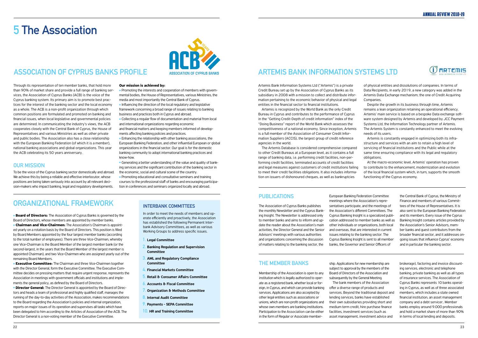## **5 The Association**

Through its representation of ten member banks, that hold more than 90% of market share and provide a full range of banking services, the Association of Cyprus Banks (ACB) is the voice of the Cyprus banking system. Its primary aim is to promote best practices for the interest of the banking sector and the local economy as a whole. The ACB is a non-profit organization through which common positions are formulated and promoted on banking and financial issues, when local legislative and governmental policies are determined. In communicating the industry's views, the ACB cooperates closely with the Central Bank of Cyprus, the House of Representatives and various Ministries as well as other private and public bodies. The Association also has a close relationship with the European Banking Federation (of which it is a member), national banking associations and global organizations. This year the ACB celebrating its 50 years anniversary.

### **Our Mission**

- Promoting the interests and cooperation of members with governmental bodies, the House of Representatives, various Ministries, the media and most importantly the Central Bank of Cyprus. **Influencing the direction of the local regulatory and legislative** framework concerning a broad range of issues relating to banking business and practices both in Cyprus and abroad.
- <sup>l</sup> Collecting a regular flow of documentation and material from local and international organizations regarding economic and financial matters and keeping members informed of develop-
- ments affecting banking policies and practices.
- $\bullet$  Enhancing the relationship with other banking associations, the European Banking Federation, and other influential European or global organizations in the financial sector. Our goal is for the domestic banking community to adopt international banking practices and know-how.

<sup>l</sup> Generating a better understanding of the value and quality of banking services and the significant contribution of the banking sector in the economic, social and cultural scene of the country. • Promoting educational and consultative seminars and training

To be the voice of the Cyprus banking sector domestically and abroad. We achieve this by being a reliable and effective interlocutor, whose positions are being taken seriously into account by all relevant decision-makers who impact banking, legal and regulatory developments.

### **Our mission is achieved by:**

**Board of Directors:** The Association of Cyprus Banks is governed by the Board of Directors, whose members are appointed by member banks. **Chairman and Vice-Chairmen:** The Association's Chairman is appointed yearly on a rotation basis by the Board of Directors. This position is filled by Board Members appointed by the four largest member banks (according to the total number of employees). There are three Vice-Chairmen, whereby one Vice-Chairman is the Board Member of the largest member bank (or the second-largest, in the years that the Board Member of the largest member is appointed Chairman), and two Vice-Chairmen who are assigned yearly out of the remaining Board Members.

**Executive Committee:** The Chairman and three Vice-Chairmen together with the Director General, form the Executive Committee. The Executive Committee decides on pressing matters that require urgent response, represents the Association in meetings with government officials and institutions and implements the general policy, as defined by the Board of Directors.

**.** Director General: The Director General is appointed by the Board of Directors and heads a team of professional and highly qualified staff, manages the running of the day-to-day activities of the Association, makes recommendations to the Board regarding the Association's policies and internal organization, reports on major issues of its operation and supervises all tasks which have been delegated to him according to the Articles of Association of the ACB. The Director General is a non-voting member of the Executive Committee.

### **INTERBANK COMMITTEES**

courses to the professional staff of banks and encouraging participation in conferences and seminars organized locally and abroad.

### **Association of Cyprus Banks profile**

### **organizational framework**

- **1.** Legal Committee
- **2.** Banking Regulation and Supervision Committee
- **3.** AML and Regulatory Compliance **Committee**
- **4.** Financial Markets Committee
- **5.** Retail & Consumer Affairs Committee
- **6.** Accounts & Fiscal Committee
- **7.** Organization & Methods Committee
- **8.** Internal Audit Committee
- **9.** Payments SEPA Committee
- **10.** HR and Training Committee

In order to meet the needs of members and operate efficiently and proactively, the Association has established the following Permanent Interbank Advisory Committees, as well as various Working Groups to address specific issues.

### **Publications**

The Association of Cyprus Banks publishes the monthly Newsletter and the Cyprus Banking Insight. The Newsletter is addressed only to member banks and aims to inform and update the reader about the Association's main activities, the Director General and the Senior Advisors' meetings with various authorities and organizations concerning the discussion of matters relating to the banking sector, the

European Banking Federation Committee meetings where the Association's representatives participate, and the meetings of the Association's different Committees. The Cyprus Banking Insight is a specialized publication addressed to member banks as well as other individuals or organizations, both local and overseas, that are interested in current issues relating to the banking sector. The Cyprus Banking Insight is sent to all member banks, the Governor and Senior Officers of

the Central Bank of Cyprus, the Ministry of Finance and members of various Committees of the House of Representatives. It is also sent to the European Banking Federation and its members. Every issue of the Cyprus Banking Insight contains articles provided by the Association's Senior Advisors, member banks and guest contributors from the broader financial sector, and it addresses ongoing issues that influence Cyprus' economy and in particular the banking sector.

### **The Member Banks**

Membership of the Association is open to any institution which is legally authorized to operate as a registered bank, whether local or foreign, in Cyprus, and which can provide banking services. Applications are also accepted by other legal entities such as associations or unions, which are non-profit organizations and whose own members are banking institutions. Participation to the Association can be either in the form of Regular or Associate member-

ship. Applications for new membership are subject to approval by the members of the Board of Directors of the Association and subsequently by the General Meeting. The bank members of the Association offer a diverse range of products and services. Beyond the traditional deposit and lending services, banks have established their own subsidiaries providing short and medium term credit, hire purchase finance facilities, investment services (such as asset management, investment advice and





brokerage), factoring and invoice discounting services, electronic and telephone banking, private banking as well as all types of insurance services. The Association of Cyprus Banks represents 10 banks operating in Cyprus, as well as of three associated members, which includes a state owned financial institution, an asset management company and a debt servicer.. Member banks employ around 9.000 professionals and hold a market share of more than 90% in terms of local lending and deposits.

## **Artemis Bank Information Systems Ltd**

Artemis Bank Information Systems Ltd ("Artemis") is a private Credit Bureau set up by the Association of Cyprus Banks as its subsidiary in 2008 with a mission to collect and distribute information pertaining to the economic behavior of physical and legal entities in the financial sector to financial institutions.

Artemis is recognized by the World Bank as the only Credit Bureau in Cyprus and contributes to the performance of Cyprus in the "Getting Credit-Depth of credit information" index of the "Doing Business" report of the World Bank which assesses the competitiveness of a national economy. Since inception, Artemis is a full member of the Association of Consumer Credit Information Suppliers (ACCIS), the largest group of credit reference agencies in the world.

of physical entities and dissolutions of companies. In terms of Data Recipients, in early 2019, a new category was added in the Artemis Data Exchange mechanism; the one of Credit Acquiring Companies.

The Artemis Database is considered comprehensive compared to other Credit Bureaus at a European level, as it contains a full range of banking data, i.e. performing credit facilities, non-performing credit facilities, terminated accounts of credit facilities and legal measures against customers of credit institutions failing to meet their credit facilities obligations. It also includes information on issuers of dishonoured cheques, as well as bankruptcies same time ensuring compliance with its legal and regulatory obligations. At the macro-economic level, Artemis' operation has proven to contribute to the enhancement, modernization and evolution of the local financial system which, in turn, supports the smooth functioning of the Cyprus economy.

Despite the growth in its business through time, Artemis remains a lean organization retaining an operational efficiency. Artemis' main service is based on a bespoke Data exchange software system designed by Artemis and developed by JCC Payment Systems Ltd, the Information Technology partner of Artemis. The Artemis System is constantly enhanced to meet the evolving needs of its users.

Artemis is constantly engaged in optimizing both its infrastructure and services with an aim to retain a high level of servicing of financial institutions and the Public while at the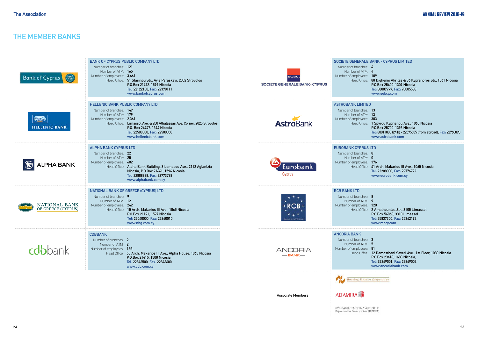## **THE MEMBER BANKS**

| <b>Bank of Cyprus</b><br>S             | <b>BANK OF CYPRUS PUBLIC COMPANY LTD</b><br>Number of branches: 121<br>Number of ATM: 165<br>Number of employees: 3,661<br>Head Office: 51 Stasinou Str., Ayia Paraskevi, 2002 Strovolos<br>P.O.Box 21472, 1599 Nicosia<br>Tel: 22122100, Fax: 22378111<br>www.bankofcyprus.com           | SGBC,<br><b>SOCIETE GENERALE BANK - CYPRUS</b> | SOCIETE GENERALE BANK - CYPRUS LIMITED<br>Number of branches: 4<br>Number of ATM: 4<br>Number of employees: 109<br>Head Office: 88 Dighenis Akritas & 36 Kypranoros Str., 1061 Nicosia<br>P.O.Box 25400, 1309 Nicosia<br>Tel: 80007777, Fax: 70005588<br>www.sgbcy.com        |
|----------------------------------------|-------------------------------------------------------------------------------------------------------------------------------------------------------------------------------------------------------------------------------------------------------------------------------------------|------------------------------------------------|-------------------------------------------------------------------------------------------------------------------------------------------------------------------------------------------------------------------------------------------------------------------------------|
| d <u>inn</u> @<br><b>HELLENIC BANK</b> | <b>HELLENIC BANK PUBLIC COMPANY LTD</b><br>Number of branches: 149<br>Number of ATM: 179<br>Number of employees: 2,361<br>Head Office: Limassol Ave. & 200 Athalassas Ave. Corner, 2025 Strovolos<br>P.O. Box 24747, 1394 Nicosia<br>Tel: 22500000, Fax: 22500050<br>www.hellenicbank.com | <b>AstroBank</b>                               | <b>ASTROBANK LIMITED</b><br>Number of branches: 13<br>Number of ATM: 13<br>Number of employees: 303<br>Head Office: 1 Spyrou Kyprianou Ave., 1065 Nicosia<br>P.O.Box 25700, 1393 Nicosia<br>Tel: 80011800 (24 h) - 22575555 (from abroad), Fax: 22760890<br>www.astrobank.com |
| LPHA BANK                              | <b>ALPHA BANK CYPRUS LTD</b><br>Number of branches: 22<br>Number of ATM: 25<br>Number of employees: 682<br>Head Office: Alpha Bank Building, 3 Lemesou Ave., 2112 Aglantzia<br>Nicosia, P.O.Box 21661, 1596 Nicosia<br>Tel: 22888888, Fax: 22773788<br>www.alphabank.com.cy               | Eurobank<br>Cyprus                             | <b>EUROBANK CYPRUS LTD</b><br>Number of branches: 8<br>Number of ATM: 0<br>Number of employees: 376<br>Head Office: 41 Arch. Makariou III Ave., 1065 Nicosia<br>Tel: 22208000, Fax: 22776722<br>www.eurobank.com.cy                                                           |
| NATIONAL BANK<br>OF GREECE (CYPRUS)    | NATIONAL BANK OF GREECE (CYPRUS) LTD<br>Number of branches: 9<br>Number of ATM: 12<br>Number of employees: 242<br>Head Office: 15 Arch. Makarios III Ave., 1065 Nicosia<br>P.O.Box 21191, 1597 Nicosia<br>Tel: 22040000, Fax: 22840010<br>www.nbg.com.cy                                  | then of this V18.0                             | <b>RCB BANK LTD</b><br>Number of branches: 8<br>Number of ATM: 9<br>Number of employees: 320<br>Head Office: 2 Amathountos Str., 3105 Limassol,<br>P.O.Box 56868, 3310 Limassol<br>Tel: 25837300, Fax: 25342192<br>www.rcbcy.com                                              |
| <b>cobbank</b>                         | <b>CDBBANK</b><br>Number of branches: 2<br>Number of ATM: 2<br>Number of employees: 139<br>Head Office: 50 Arch. Makarios III Ave., Alpha House, 1065 Nicosia<br>P.O.Box 21415, 1508 Nicosia<br>Tel: 22846500, Fax: 22846600<br>www.cdb.com.cy                                            | <b>ANCORIA</b><br>$-$ BANK $-$                 | <b>ANCORIA BANK</b><br>Number of branches: 3<br>Number of ATM: 5<br>Number of employees: 81<br>Head Office: 12 Demostheni Severi Ave., 1st Floor, 1080 Nicosia<br>P.O.Box 23418, 1683 Nicosia,<br>Tel: 22849001, Fax: 22849002<br>www.ancoriabank.com                         |
|                                        |                                                                                                                                                                                                                                                                                           |                                                | Housing Finance Corporation                                                                                                                                                                                                                                                   |
|                                        |                                                                                                                                                                                                                                                                                           | <b>Associate Members</b>                       | <b>ALTAMIRA</b><br>ΚΥΠΡΙΑΚΗ ΕΤΑΙΡΕΙΑ ΔΙΑΧΕΙΡΙΣΗΣ                                                                                                                                                                                                                              |
|                                        |                                                                                                                                                                                                                                                                                           |                                                | Περιουσιακών Στοιχείων Ατδ (ΚΕΔΙΠΕΣ)                                                                                                                                                                                                                                          |